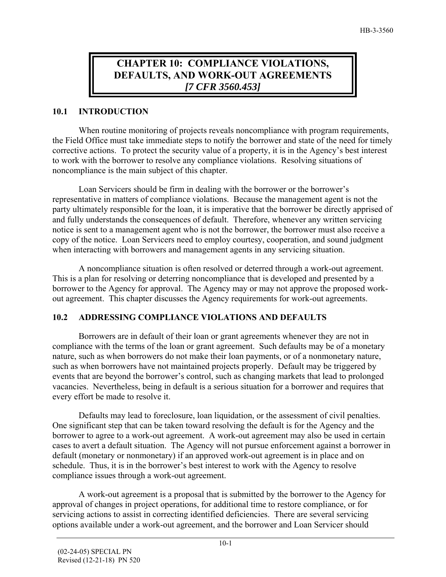# **CHAPTER 10: COMPLIANCE VIOLATIONS, DEFAULTS, AND WORK-OUT AGREEMENTS**  *[7 CFR 3560.453]*

# **10.1 INTRODUCTION**

When routine monitoring of projects reveals noncompliance with program requirements, the Field Office must take immediate steps to notify the borrower and state of the need for timely corrective actions. To protect the security value of a property, it is in the Agency's best interest to work with the borrower to resolve any compliance violations. Resolving situations of noncompliance is the main subject of this chapter.

Loan Servicers should be firm in dealing with the borrower or the borrower's representative in matters of compliance violations. Because the management agent is not the party ultimately responsible for the loan, it is imperative that the borrower be directly apprised of and fully understands the consequences of default. Therefore, whenever any written servicing notice is sent to a management agent who is not the borrower, the borrower must also receive a copy of the notice. Loan Servicers need to employ courtesy, cooperation, and sound judgment when interacting with borrowers and management agents in any servicing situation.

A noncompliance situation is often resolved or deterred through a work-out agreement. This is a plan for resolving or deterring noncompliance that is developed and presented by a borrower to the Agency for approval. The Agency may or may not approve the proposed workout agreement. This chapter discusses the Agency requirements for work-out agreements.

# **10.2 ADDRESSING COMPLIANCE VIOLATIONS AND DEFAULTS**

Borrowers are in default of their loan or grant agreements whenever they are not in compliance with the terms of the loan or grant agreement. Such defaults may be of a monetary nature, such as when borrowers do not make their loan payments, or of a nonmonetary nature, such as when borrowers have not maintained projects properly. Default may be triggered by events that are beyond the borrower's control, such as changing markets that lead to prolonged vacancies. Nevertheless, being in default is a serious situation for a borrower and requires that every effort be made to resolve it.

Defaults may lead to foreclosure, loan liquidation, or the assessment of civil penalties. One significant step that can be taken toward resolving the default is for the Agency and the borrower to agree to a work-out agreement. A work-out agreement may also be used in certain cases to avert a default situation. The Agency will not pursue enforcement against a borrower in default (monetary or nonmonetary) if an approved work-out agreement is in place and on schedule. Thus, it is in the borrower's best interest to work with the Agency to resolve compliance issues through a work-out agreement.

A work-out agreement is a proposal that is submitted by the borrower to the Agency for approval of changes in project operations, for additional time to restore compliance, or for servicing actions to assist in correcting identified deficiencies. There are several servicing options available under a work-out agreement, and the borrower and Loan Servicer should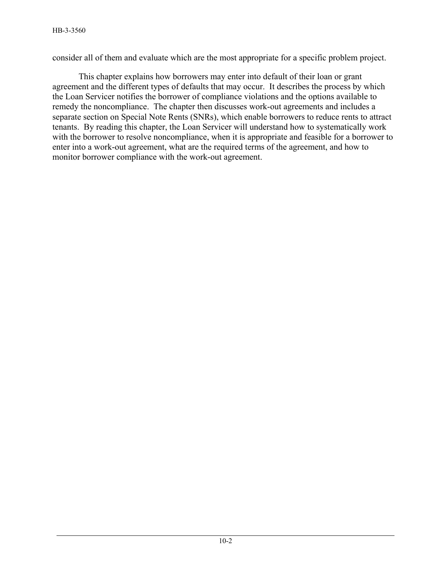consider all of them and evaluate which are the most appropriate for a specific problem project.

This chapter explains how borrowers may enter into default of their loan or grant agreement and the different types of defaults that may occur. It describes the process by which the Loan Servicer notifies the borrower of compliance violations and the options available to remedy the noncompliance. The chapter then discusses work-out agreements and includes a separate section on Special Note Rents (SNRs), which enable borrowers to reduce rents to attract tenants. By reading this chapter, the Loan Servicer will understand how to systematically work with the borrower to resolve noncompliance, when it is appropriate and feasible for a borrower to enter into a work-out agreement, what are the required terms of the agreement, and how to monitor borrower compliance with the work-out agreement.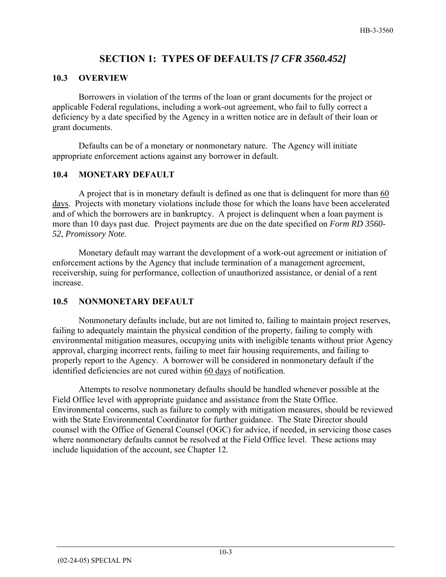# **SECTION 1: TYPES OF DEFAULTS** *[7 CFR 3560.452]*

### **10.3 OVERVIEW**

Borrowers in violation of the terms of the loan or grant documents for the project or applicable Federal regulations, including a work-out agreement, who fail to fully correct a deficiency by a date specified by the Agency in a written notice are in default of their loan or grant documents.

Defaults can be of a monetary or nonmonetary nature. The Agency will initiate appropriate enforcement actions against any borrower in default.

## **10.4 MONETARY DEFAULT**

A project that is in monetary default is defined as one that is delinquent for more than 60 days. Projects with monetary violations include those for which the loans have been accelerated and of which the borrowers are in bankruptcy. A project is delinquent when a loan payment is more than 10 days past due. Project payments are due on the date specified on *Form RD 3560- 52, Promissory Note*.

Monetary default may warrant the development of a work-out agreement or initiation of enforcement actions by the Agency that include termination of a management agreement, receivership, suing for performance, collection of unauthorized assistance, or denial of a rent increase.

# **10.5 NONMONETARY DEFAULT**

Nonmonetary defaults include, but are not limited to, failing to maintain project reserves, failing to adequately maintain the physical condition of the property, failing to comply with environmental mitigation measures, occupying units with ineligible tenants without prior Agency approval, charging incorrect rents, failing to meet fair housing requirements, and failing to properly report to the Agency. A borrower will be considered in nonmonetary default if the identified deficiencies are not cured within 60 days of notification.

Attempts to resolve nonmonetary defaults should be handled whenever possible at the Field Office level with appropriate guidance and assistance from the State Office. Environmental concerns, such as failure to comply with mitigation measures, should be reviewed with the State Environmental Coordinator for further guidance. The State Director should counsel with the Office of General Counsel (OGC) for advice, if needed, in servicing those cases where nonmonetary defaults cannot be resolved at the Field Office level. These actions may include liquidation of the account, see Chapter 12.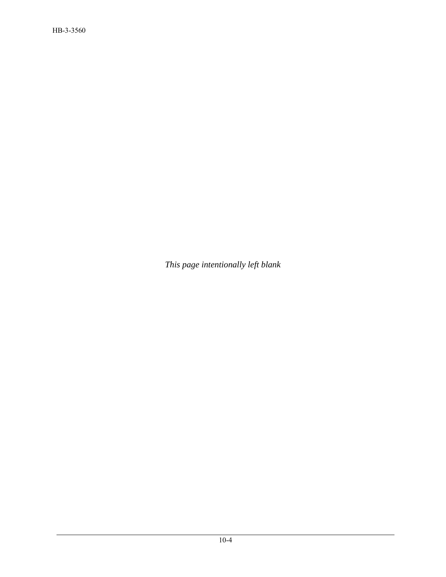*This page intentionally left blank*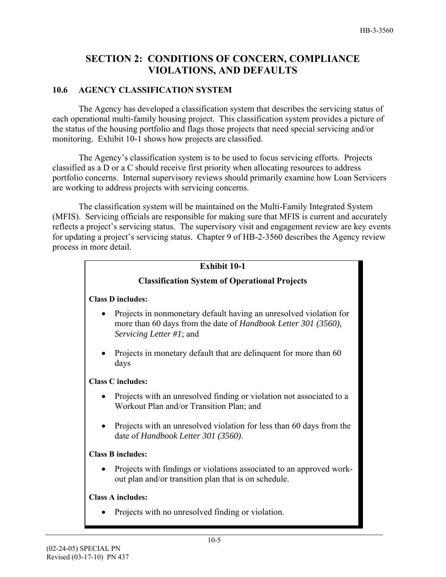# **SECTION 2: CONDITIONS OF CONCERN, COMPLIANCE VIOLATIONS, AND DEFAULTS**

# **10.6 AGENCY CLASSIFICATION SYSTEM**

The Agency has developed a classification system that describes the servicing status of each operational multi-family housing project. This classification system provides a picture of the status of the housing portfolio and flags those projects that need special servicing and/or monitoring. Exhibit 10-1 shows how projects are classified.

The Agency's classification system is to be used to focus servicing efforts. Projects classified as a D or a C should receive first priority when allocating resources to address portfolio concerns. Internal supervisory reviews should primarily examine how Loan Servicers are working to address projects with servicing concerns.

The classification system will be maintained on the Multi-Family Integrated System (MFIS). Servicing officials are responsible for making sure that MFIS is current and accurately reflects a project's servicing status. The supervisory visit and engagement review are key events for updating a project's servicing status. Chapter 9 of HB-2-3560 describes the Agency review process in more detail.

| <b>Exhibit 10-1</b>                                  |                                                                                                                                                                          |  |  |
|------------------------------------------------------|--------------------------------------------------------------------------------------------------------------------------------------------------------------------------|--|--|
| <b>Classification System of Operational Projects</b> |                                                                                                                                                                          |  |  |
| <b>Class D includes:</b>                             |                                                                                                                                                                          |  |  |
| $\bullet$                                            | Projects in nonmonetary default having an unresolved violation for<br>more than 60 days from the date of Handbook Letter 301 (3560),<br><i>Servicing Letter #1</i> ; and |  |  |
|                                                      | Projects in monetary default that are delinquent for more than 60<br>days                                                                                                |  |  |
| <b>Class C includes:</b>                             |                                                                                                                                                                          |  |  |
| $\bullet$                                            | Projects with an unresolved finding or violation not associated to a<br>Workout Plan and/or Transition Plan; and                                                         |  |  |
|                                                      | Projects with an unresolved violation for less than 60 days from the<br>date of <i>Handbook Letter</i> 301 (3560).                                                       |  |  |
| <b>Class B includes:</b>                             |                                                                                                                                                                          |  |  |
|                                                      | Projects with findings or violations associated to an approved work-<br>out plan and/or transition plan that is on schedule.                                             |  |  |
| <b>Class A includes:</b>                             |                                                                                                                                                                          |  |  |

Projects with no unresolved finding or violation.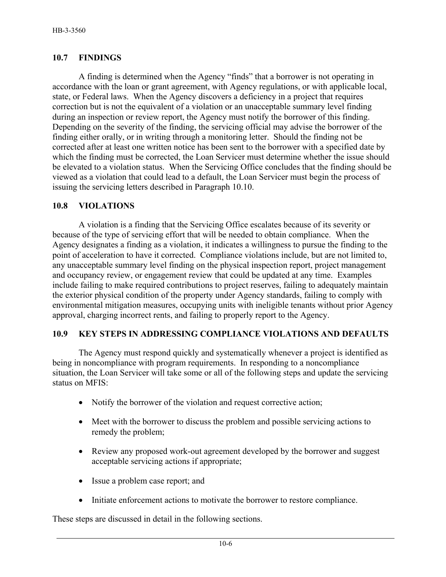# **10.7 FINDINGS**

A finding is determined when the Agency "finds" that a borrower is not operating in accordance with the loan or grant agreement, with Agency regulations, or with applicable local, state, or Federal laws. When the Agency discovers a deficiency in a project that requires correction but is not the equivalent of a violation or an unacceptable summary level finding during an inspection or review report, the Agency must notify the borrower of this finding. Depending on the severity of the finding, the servicing official may advise the borrower of the finding either orally, or in writing through a monitoring letter. Should the finding not be corrected after at least one written notice has been sent to the borrower with a specified date by which the finding must be corrected, the Loan Servicer must determine whether the issue should be elevated to a violation status. When the Servicing Office concludes that the finding should be viewed as a violation that could lead to a default, the Loan Servicer must begin the process of issuing the servicing letters described in Paragraph 10.10.

# **10.8 VIOLATIONS**

A violation is a finding that the Servicing Office escalates because of its severity or because of the type of servicing effort that will be needed to obtain compliance. When the Agency designates a finding as a violation, it indicates a willingness to pursue the finding to the point of acceleration to have it corrected. Compliance violations include, but are not limited to, any unacceptable summary level finding on the physical inspection report, project management and occupancy review, or engagement review that could be updated at any time. Examples include failing to make required contributions to project reserves, failing to adequately maintain the exterior physical condition of the property under Agency standards, failing to comply with environmental mitigation measures, occupying units with ineligible tenants without prior Agency approval, charging incorrect rents, and failing to properly report to the Agency.

# **10.9 KEY STEPS IN ADDRESSING COMPLIANCE VIOLATIONS AND DEFAULTS**

The Agency must respond quickly and systematically whenever a project is identified as being in noncompliance with program requirements. In responding to a noncompliance situation, the Loan Servicer will take some or all of the following steps and update the servicing status on MFIS:

- Notify the borrower of the violation and request corrective action;
- Meet with the borrower to discuss the problem and possible servicing actions to remedy the problem;
- Review any proposed work-out agreement developed by the borrower and suggest acceptable servicing actions if appropriate;
- Issue a problem case report; and
- Initiate enforcement actions to motivate the borrower to restore compliance.

These steps are discussed in detail in the following sections.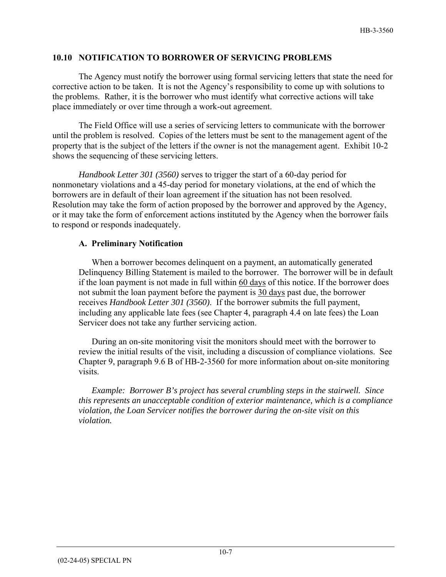#### **10.10 NOTIFICATION TO BORROWER OF SERVICING PROBLEMS**

The Agency must notify the borrower using formal servicing letters that state the need for corrective action to be taken. It is not the Agency's responsibility to come up with solutions to the problems. Rather, it is the borrower who must identify what corrective actions will take place immediately or over time through a work-out agreement.

The Field Office will use a series of servicing letters to communicate with the borrower until the problem is resolved. Copies of the letters must be sent to the management agent of the property that is the subject of the letters if the owner is not the management agent. Exhibit 10-2 shows the sequencing of these servicing letters.

*Handbook Letter 301 (3560)* serves to trigger the start of a 60-day period for nonmonetary violations and a 45-day period for monetary violations, at the end of which the borrowers are in default of their loan agreement if the situation has not been resolved. Resolution may take the form of action proposed by the borrower and approved by the Agency, or it may take the form of enforcement actions instituted by the Agency when the borrower fails to respond or responds inadequately.

#### **A. Preliminary Notification**

When a borrower becomes delinquent on a payment, an automatically generated Delinquency Billing Statement is mailed to the borrower. The borrower will be in default if the loan payment is not made in full within 60 days of this notice. If the borrower does not submit the loan payment before the payment is 30 days past due, the borrower receives *Handbook Letter 301 (3560)*. If the borrower submits the full payment, including any applicable late fees (see Chapter 4, paragraph 4.4 on late fees) the Loan Servicer does not take any further servicing action.

During an on-site monitoring visit the monitors should meet with the borrower to review the initial results of the visit, including a discussion of compliance violations. See Chapter 9, paragraph 9.6 B of HB-2-3560 for more information about on-site monitoring visits.

*Example: Borrower B's project has several crumbling steps in the stairwell. Since this represents an unacceptable condition of exterior maintenance, which is a compliance violation, the Loan Servicer notifies the borrower during the on-site visit on this violation.*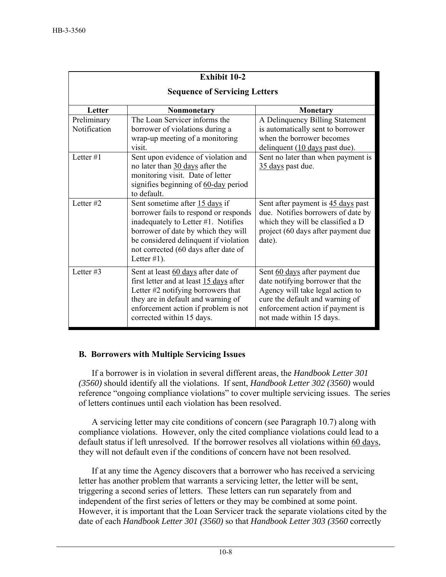| <b>Exhibit 10-2</b>                  |                                                     |                                                                          |  |  |  |
|--------------------------------------|-----------------------------------------------------|--------------------------------------------------------------------------|--|--|--|
| <b>Sequence of Servicing Letters</b> |                                                     |                                                                          |  |  |  |
| Letter                               | <b>Nonmonetary</b>                                  | <b>Monetary</b>                                                          |  |  |  |
| Preliminary                          | The Loan Servicer informs the                       | A Delinquency Billing Statement                                          |  |  |  |
| Notification                         | borrower of violations during a                     | is automatically sent to borrower                                        |  |  |  |
|                                      | wrap-up meeting of a monitoring                     | when the borrower becomes                                                |  |  |  |
|                                      | visit.                                              | delinquent $(10 \text{ days} \text{ past due}).$                         |  |  |  |
| Letter $#1$                          | Sent upon evidence of violation and                 | Sent no later than when payment is                                       |  |  |  |
|                                      | no later than 30 days after the                     | 35 days past due.                                                        |  |  |  |
|                                      | monitoring visit. Date of letter                    |                                                                          |  |  |  |
|                                      | signifies beginning of 60-day period<br>to default. |                                                                          |  |  |  |
| Letter #2                            | Sent sometime after 15 days if                      |                                                                          |  |  |  |
|                                      | borrower fails to respond or responds               | Sent after payment is 45 days past<br>due. Notifies borrowers of date by |  |  |  |
|                                      | inadequately to Letter #1. Notifies                 | which they will be classified a D                                        |  |  |  |
|                                      | borrower of date by which they will                 | project (60 days after payment due                                       |  |  |  |
|                                      | be considered delinquent if violation               | date).                                                                   |  |  |  |
|                                      | not corrected (60 days after date of                |                                                                          |  |  |  |
|                                      | Letter $#1$ ).                                      |                                                                          |  |  |  |
| Letter $#3$                          | Sent at least 60 days after date of                 | Sent 60 days after payment due                                           |  |  |  |
|                                      | first letter and at least 15 days after             | date notifying borrower that the                                         |  |  |  |
|                                      | Letter $#2$ notifying borrowers that                | Agency will take legal action to                                         |  |  |  |
|                                      | they are in default and warning of                  | cure the default and warning of                                          |  |  |  |
|                                      | enforcement action if problem is not                | enforcement action if payment is                                         |  |  |  |
|                                      | corrected within 15 days.                           | not made within 15 days.                                                 |  |  |  |
|                                      |                                                     |                                                                          |  |  |  |

# **B. Borrowers with Multiple Servicing Issues**

If a borrower is in violation in several different areas, the *Handbook Letter 301 (3560)* should identify all the violations. If sent, *Handbook Letter 302 (3560)* would reference "ongoing compliance violations" to cover multiple servicing issues. The series of letters continues until each violation has been resolved.

A servicing letter may cite conditions of concern (see Paragraph 10.7) along with compliance violations. However, only the cited compliance violations could lead to a default status if left unresolved. If the borrower resolves all violations within 60 days, they will not default even if the conditions of concern have not been resolved.

If at any time the Agency discovers that a borrower who has received a servicing letter has another problem that warrants a servicing letter, the letter will be sent, triggering a second series of letters. These letters can run separately from and independent of the first series of letters or they may be combined at some point. However, it is important that the Loan Servicer track the separate violations cited by the date of each *Handbook Letter 301 (3560)* so that *Handbook Letter 303 (3560* correctly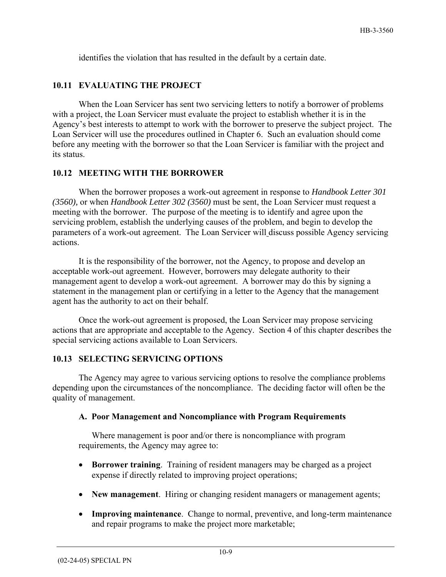identifies the violation that has resulted in the default by a certain date.

# **10.11 EVALUATING THE PROJECT**

When the Loan Servicer has sent two servicing letters to notify a borrower of problems with a project, the Loan Servicer must evaluate the project to establish whether it is in the Agency's best interests to attempt to work with the borrower to preserve the subject project. The Loan Servicer will use the procedures outlined in Chapter 6. Such an evaluation should come before any meeting with the borrower so that the Loan Servicer is familiar with the project and its status.

## **10.12 MEETING WITH THE BORROWER**

When the borrower proposes a work-out agreement in response to *Handbook Letter 301 (3560),* or when *Handbook Letter 302 (3560)* must be sent, the Loan Servicer must request a meeting with the borrower. The purpose of the meeting is to identify and agree upon the servicing problem, establish the underlying causes of the problem, and begin to develop the parameters of a work-out agreement. The Loan Servicer will discuss possible Agency servicing actions.

It is the responsibility of the borrower, not the Agency, to propose and develop an acceptable work-out agreement. However, borrowers may delegate authority to their management agent to develop a work-out agreement. A borrower may do this by signing a statement in the management plan or certifying in a letter to the Agency that the management agent has the authority to act on their behalf.

Once the work-out agreement is proposed, the Loan Servicer may propose servicing actions that are appropriate and acceptable to the Agency. Section 4 of this chapter describes the special servicing actions available to Loan Servicers.

### **10.13 SELECTING SERVICING OPTIONS**

The Agency may agree to various servicing options to resolve the compliance problems depending upon the circumstances of the noncompliance. The deciding factor will often be the quality of management.

### **A. Poor Management and Noncompliance with Program Requirements**

Where management is poor and/or there is noncompliance with program requirements, the Agency may agree to:

- **Borrower training**. Training of resident managers may be charged as a project expense if directly related to improving project operations;
- **New management**. Hiring or changing resident managers or management agents;
- **Improving maintenance**. Change to normal, preventive, and long-term maintenance and repair programs to make the project more marketable;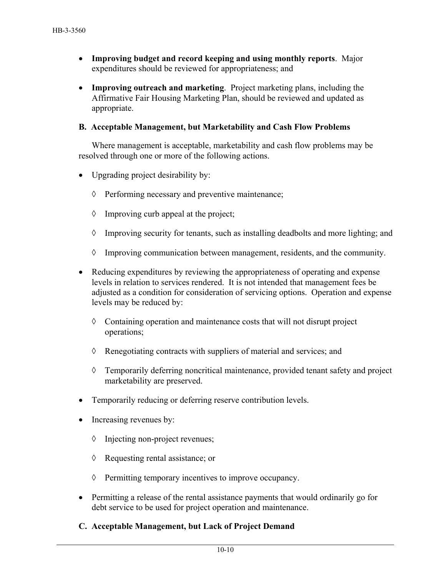- **Improving budget and record keeping and using monthly reports**. Major expenditures should be reviewed for appropriateness; and
- **Improving outreach and marketing**. Project marketing plans, including the Affirmative Fair Housing Marketing Plan, should be reviewed and updated as appropriate.

#### **B. Acceptable Management, but Marketability and Cash Flow Problems**

Where management is acceptable, marketability and cash flow problems may be resolved through one or more of the following actions.

- Upgrading project desirability by:
	- $\Diamond$  Performing necessary and preventive maintenance;
	- $\Diamond$  Improving curb appeal at the project;
	- $\Diamond$  Improving security for tenants, such as installing deadbolts and more lighting; and
	- $\Diamond$  Improving communication between management, residents, and the community.
- Reducing expenditures by reviewing the appropriateness of operating and expense levels in relation to services rendered. It is not intended that management fees be adjusted as a condition for consideration of servicing options. Operation and expense levels may be reduced by:
	- $\Diamond$  Containing operation and maintenance costs that will not disrupt project operations;
	- $\Diamond$  Renegotiating contracts with suppliers of material and services; and
	- $\Diamond$  Temporarily deferring noncritical maintenance, provided tenant safety and project marketability are preserved.
- Temporarily reducing or deferring reserve contribution levels.
- Increasing revenues by:
	- $\Diamond$  Injecting non-project revenues;
	- Requesting rental assistance; or
	- $\Diamond$  Permitting temporary incentives to improve occupancy.
- Permitting a release of the rental assistance payments that would ordinarily go for debt service to be used for project operation and maintenance.

### **C. Acceptable Management, but Lack of Project Demand**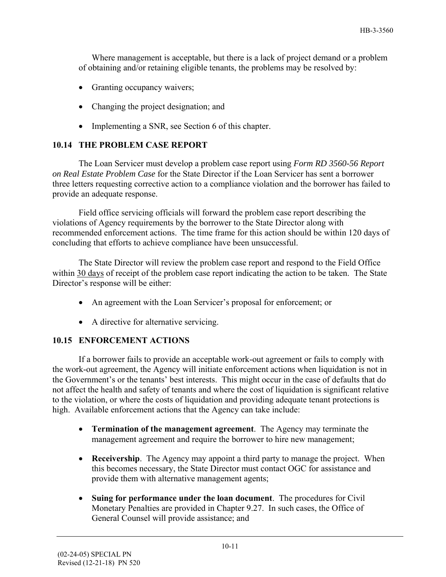Where management is acceptable, but there is a lack of project demand or a problem of obtaining and/or retaining eligible tenants, the problems may be resolved by:

- Granting occupancy waivers;
- Changing the project designation; and
- Implementing a SNR, see Section 6 of this chapter.

# **10.14 THE PROBLEM CASE REPORT**

The Loan Servicer must develop a problem case report using *Form RD 3560-56 Report on Real Estate Problem Case* for the State Director if the Loan Servicer has sent a borrower three letters requesting corrective action to a compliance violation and the borrower has failed to provide an adequate response.

Field office servicing officials will forward the problem case report describing the violations of Agency requirements by the borrower to the State Director along with recommended enforcement actions. The time frame for this action should be within 120 days of concluding that efforts to achieve compliance have been unsuccessful.

The State Director will review the problem case report and respond to the Field Office within 30 days of receipt of the problem case report indicating the action to be taken. The State Director's response will be either:

- An agreement with the Loan Servicer's proposal for enforcement; or
- A directive for alternative servicing.

# **10.15 ENFORCEMENT ACTIONS**

If a borrower fails to provide an acceptable work-out agreement or fails to comply with the work-out agreement, the Agency will initiate enforcement actions when liquidation is not in the Government's or the tenants' best interests. This might occur in the case of defaults that do not affect the health and safety of tenants and where the cost of liquidation is significant relative to the violation, or where the costs of liquidation and providing adequate tenant protections is high. Available enforcement actions that the Agency can take include:

- **Termination of the management agreement**. The Agency may terminate the management agreement and require the borrower to hire new management;
- **Receivership**. The Agency may appoint a third party to manage the project. When this becomes necessary, the State Director must contact OGC for assistance and provide them with alternative management agents;
- **Suing for performance under the loan document**. The procedures for Civil Monetary Penalties are provided in Chapter 9.27. In such cases, the Office of General Counsel will provide assistance; and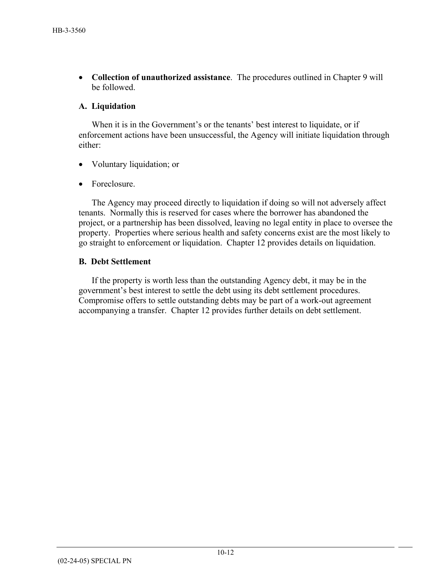**Collection of unauthorized assistance**. The procedures outlined in Chapter 9 will be followed.

#### **A. Liquidation**

When it is in the Government's or the tenants' best interest to liquidate, or if enforcement actions have been unsuccessful, the Agency will initiate liquidation through either:

- Voluntary liquidation; or
- Foreclosure.

The Agency may proceed directly to liquidation if doing so will not adversely affect tenants. Normally this is reserved for cases where the borrower has abandoned the project, or a partnership has been dissolved, leaving no legal entity in place to oversee the property. Properties where serious health and safety concerns exist are the most likely to go straight to enforcement or liquidation. Chapter 12 provides details on liquidation.

### **B. Debt Settlement**

If the property is worth less than the outstanding Agency debt, it may be in the government's best interest to settle the debt using its debt settlement procedures. Compromise offers to settle outstanding debts may be part of a work-out agreement accompanying a transfer. Chapter 12 provides further details on debt settlement.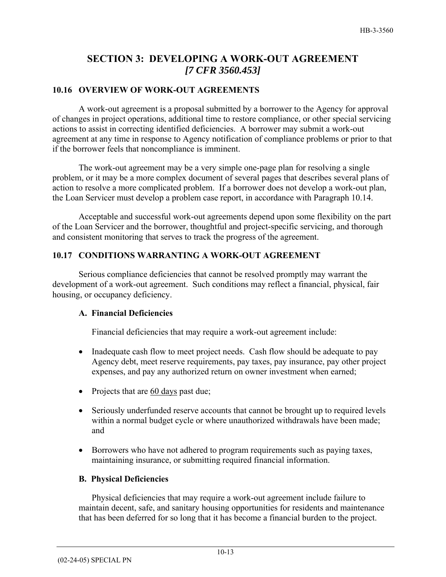# **SECTION 3: DEVELOPING A WORK-OUT AGREEMENT**  *[7 CFR 3560.453]*

# **10.16 OVERVIEW OF WORK-OUT AGREEMENTS**

A work-out agreement is a proposal submitted by a borrower to the Agency for approval of changes in project operations, additional time to restore compliance, or other special servicing actions to assist in correcting identified deficiencies. A borrower may submit a work-out agreement at any time in response to Agency notification of compliance problems or prior to that if the borrower feels that noncompliance is imminent.

The work-out agreement may be a very simple one-page plan for resolving a single problem, or it may be a more complex document of several pages that describes several plans of action to resolve a more complicated problem. If a borrower does not develop a work-out plan, the Loan Servicer must develop a problem case report, in accordance with Paragraph 10.14.

Acceptable and successful work-out agreements depend upon some flexibility on the part of the Loan Servicer and the borrower, thoughtful and project-specific servicing, and thorough and consistent monitoring that serves to track the progress of the agreement.

### **10.17 CONDITIONS WARRANTING A WORK-OUT AGREEMENT**

Serious compliance deficiencies that cannot be resolved promptly may warrant the development of a work-out agreement. Such conditions may reflect a financial, physical, fair housing, or occupancy deficiency.

### **A. Financial Deficiencies**

Financial deficiencies that may require a work-out agreement include:

- Inadequate cash flow to meet project needs. Cash flow should be adequate to pay Agency debt, meet reserve requirements, pay taxes, pay insurance, pay other project expenses, and pay any authorized return on owner investment when earned;
- Projects that are  $60$  days past due;
- Seriously underfunded reserve accounts that cannot be brought up to required levels within a normal budget cycle or where unauthorized withdrawals have been made; and
- Borrowers who have not adhered to program requirements such as paying taxes, maintaining insurance, or submitting required financial information.

### **B. Physical Deficiencies**

Physical deficiencies that may require a work-out agreement include failure to maintain decent, safe, and sanitary housing opportunities for residents and maintenance that has been deferred for so long that it has become a financial burden to the project.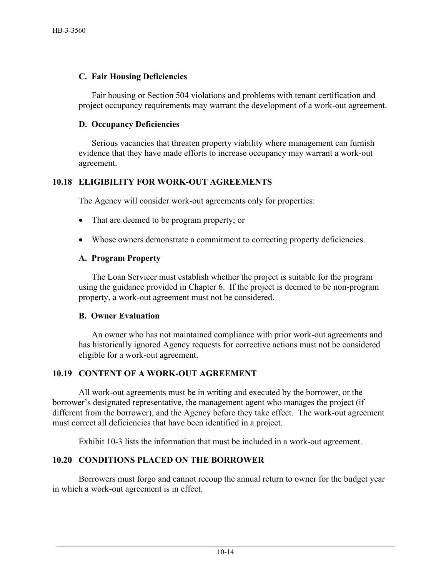# **C. Fair Housing Deficiencies**

Fair housing or Section 504 violations and problems with tenant certification and project occupancy requirements may warrant the development of a work-out agreement.

## **D. Occupancy Deficiencies**

Serious vacancies that threaten property viability where management can furnish evidence that they have made efforts to increase occupancy may warrant a work-out agreement.

# **10.18 ELIGIBILITY FOR WORK-OUT AGREEMENTS**

The Agency will consider work-out agreements only for properties:

- That are deemed to be program property; or
- Whose owners demonstrate a commitment to correcting property deficiencies.

## **A. Program Property**

The Loan Servicer must establish whether the project is suitable for the program using the guidance provided in Chapter 6. If the project is deemed to be non-program property, a work-out agreement must not be considered.

### **B. Owner Evaluation**

An owner who has not maintained compliance with prior work-out agreements and has historically ignored Agency requests for corrective actions must not be considered eligible for a work-out agreement.

# **10.19 CONTENT OF A WORK-OUT AGREEMENT**

All work-out agreements must be in writing and executed by the borrower, or the borrower's designated representative, the management agent who manages the project (if different from the borrower), and the Agency before they take effect. The work-out agreement must correct all deficiencies that have been identified in a project.

Exhibit 10-3 lists the information that must be included in a work-out agreement.

# **10.20 CONDITIONS PLACED ON THE BORROWER**

Borrowers must forgo and cannot recoup the annual return to owner for the budget year in which a work-out agreement is in effect.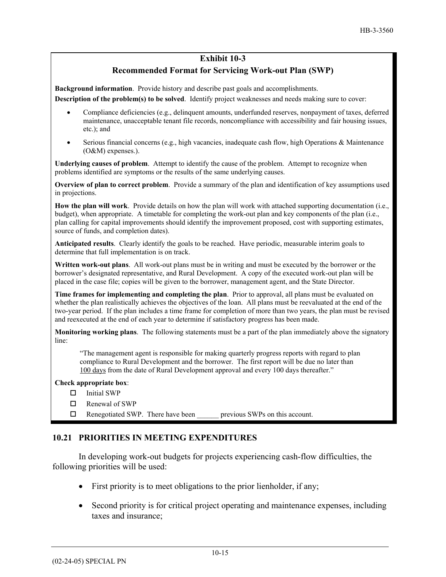## **Exhibit 10-3**

### **Recommended Format for Servicing Work-out Plan (SWP)**

**Background information**. Provide history and describe past goals and accomplishments.

**Description of the problem(s) to be solved**. Identify project weaknesses and needs making sure to cover:

- Compliance deficiencies (e.g., delinquent amounts, underfunded reserves, nonpayment of taxes, deferred maintenance, unacceptable tenant file records, noncompliance with accessibility and fair housing issues, etc.); and
- Serious financial concerns (e.g., high vacancies, inadequate cash flow, high Operations & Maintenance (O&M) expenses.).

**Underlying causes of problem**. Attempt to identify the cause of the problem. Attempt to recognize when problems identified are symptoms or the results of the same underlying causes.

**Overview of plan to correct problem**. Provide a summary of the plan and identification of key assumptions used in projections.

**How the plan will work**. Provide details on how the plan will work with attached supporting documentation (i.e., budget), when appropriate. A timetable for completing the work-out plan and key components of the plan (i.e., plan calling for capital improvements should identify the improvement proposed, cost with supporting estimates, source of funds, and completion dates).

**Anticipated results**. Clearly identify the goals to be reached. Have periodic, measurable interim goals to determine that full implementation is on track.

**Written work-out plans**. All work-out plans must be in writing and must be executed by the borrower or the borrower's designated representative, and Rural Development. A copy of the executed work-out plan will be placed in the case file; copies will be given to the borrower, management agent, and the State Director.

**Time frames for implementing and completing the plan**. Prior to approval, all plans must be evaluated on whether the plan realistically achieves the objectives of the loan. All plans must be reevaluated at the end of the two-year period. If the plan includes a time frame for completion of more than two years, the plan must be revised and reexecuted at the end of each year to determine if satisfactory progress has been made.

**Monitoring working plans**. The following statements must be a part of the plan immediately above the signatory line:

"The management agent is responsible for making quarterly progress reports with regard to plan compliance to Rural Development and the borrower. The first report will be due no later than 100 days from the date of Rural Development approval and every 100 days thereafter."

#### **Check appropriate box**:

- $\square$  Initial SWP
- □ Renewal of SWP
- $\Box$  Renegotiated SWP. There have been previous SWPs on this account.

### **10.21 PRIORITIES IN MEETING EXPENDITURES**

In developing work-out budgets for projects experiencing cash-flow difficulties, the following priorities will be used:

- First priority is to meet obligations to the prior lienholder, if any;
- Second priority is for critical project operating and maintenance expenses, including taxes and insurance;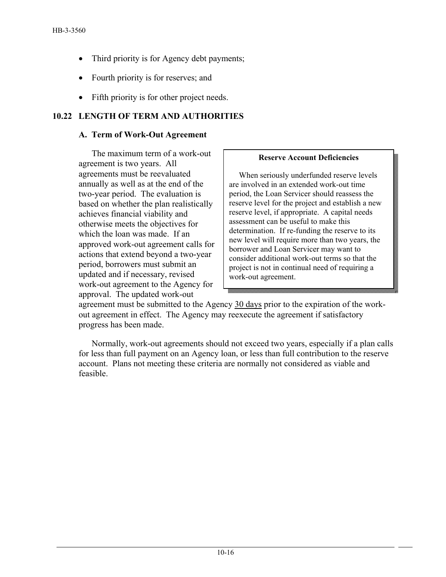- Third priority is for Agency debt payments;
- Fourth priority is for reserves; and
- Fifth priority is for other project needs.

# **10.22 LENGTH OF TERM AND AUTHORITIES**

### **A. Term of Work-Out Agreement**

The maximum term of a work-out agreement is two years. All agreements must be reevaluated annually as well as at the end of the two-year period. The evaluation is based on whether the plan realistically achieves financial viability and otherwise meets the objectives for which the loan was made. If an approved work-out agreement calls for actions that extend beyond a two-year period, borrowers must submit an updated and if necessary, revised work-out agreement to the Agency for approval. The updated work-out

#### **Reserve Account Deficiencies**

When seriously underfunded reserve levels are involved in an extended work-out time period, the Loan Servicer should reassess the reserve level for the project and establish a new reserve level, if appropriate. A capital needs assessment can be useful to make this determination. If re-funding the reserve to its new level will require more than two years, the borrower and Loan Servicer may want to consider additional work-out terms so that the project is not in continual need of requiring a work-out agreement.

agreement must be submitted to the Agency 30 days prior to the expiration of the workout agreement in effect. The Agency may reexecute the agreement if satisfactory progress has been made.

Normally, work-out agreements should not exceed two years, especially if a plan calls for less than full payment on an Agency loan, or less than full contribution to the reserve account. Plans not meeting these criteria are normally not considered as viable and feasible.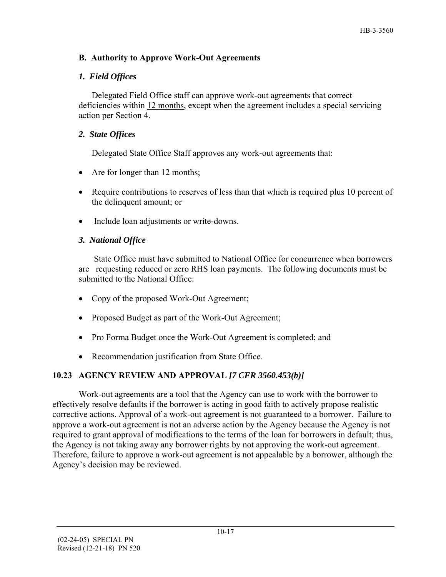# **B. Authority to Approve Work-Out Agreements**

# *1. Field Offices*

Delegated Field Office staff can approve work-out agreements that correct deficiencies within 12 months, except when the agreement includes a special servicing action per Section 4.

# *2. State Offices*

Delegated State Office Staff approves any work-out agreements that:

- Are for longer than 12 months;
- Require contributions to reserves of less than that which is required plus 10 percent of the delinquent amount; or
- Include loan adjustments or write-downs.

# *3. National Office*

 State Office must have submitted to National Office for concurrence when borrowers are requesting reduced or zero RHS loan payments. The following documents must be submitted to the National Office:

- Copy of the proposed Work-Out Agreement;
- Proposed Budget as part of the Work-Out Agreement;
- Pro Forma Budget once the Work-Out Agreement is completed; and
- Recommendation justification from State Office.

# **10.23 AGENCY REVIEW AND APPROVAL** *[7 CFR 3560.453(b)]*

Work-out agreements are a tool that the Agency can use to work with the borrower to effectively resolve defaults if the borrower is acting in good faith to actively propose realistic corrective actions. Approval of a work-out agreement is not guaranteed to a borrower. Failure to approve a work-out agreement is not an adverse action by the Agency because the Agency is not required to grant approval of modifications to the terms of the loan for borrowers in default; thus, the Agency is not taking away any borrower rights by not approving the work-out agreement. Therefore, failure to approve a work-out agreement is not appealable by a borrower, although the Agency's decision may be reviewed.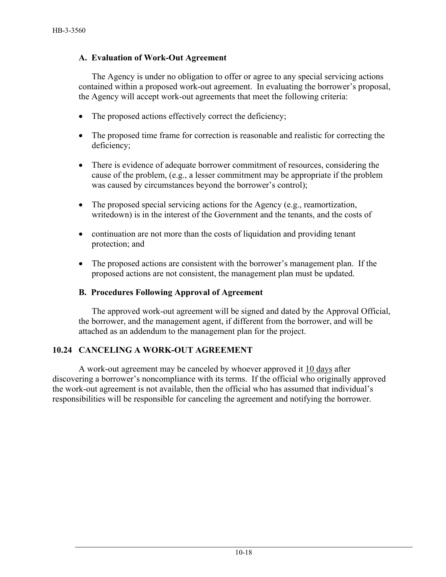# **A. Evaluation of Work-Out Agreement**

The Agency is under no obligation to offer or agree to any special servicing actions contained within a proposed work-out agreement. In evaluating the borrower's proposal, the Agency will accept work-out agreements that meet the following criteria:

- The proposed actions effectively correct the deficiency;
- The proposed time frame for correction is reasonable and realistic for correcting the deficiency;
- There is evidence of adequate borrower commitment of resources, considering the cause of the problem, (e.g., a lesser commitment may be appropriate if the problem was caused by circumstances beyond the borrower's control);
- The proposed special servicing actions for the Agency (e.g., reamortization, writedown) is in the interest of the Government and the tenants, and the costs of
- continuation are not more than the costs of liquidation and providing tenant protection; and
- The proposed actions are consistent with the borrower's management plan. If the proposed actions are not consistent, the management plan must be updated.

# **B. Procedures Following Approval of Agreement**

The approved work-out agreement will be signed and dated by the Approval Official, the borrower, and the management agent, if different from the borrower, and will be attached as an addendum to the management plan for the project.

# **10.24 CANCELING A WORK-OUT AGREEMENT**

A work-out agreement may be canceled by whoever approved it 10 days after discovering a borrower's noncompliance with its terms. If the official who originally approved the work-out agreement is not available, then the official who has assumed that individual's responsibilities will be responsible for canceling the agreement and notifying the borrower.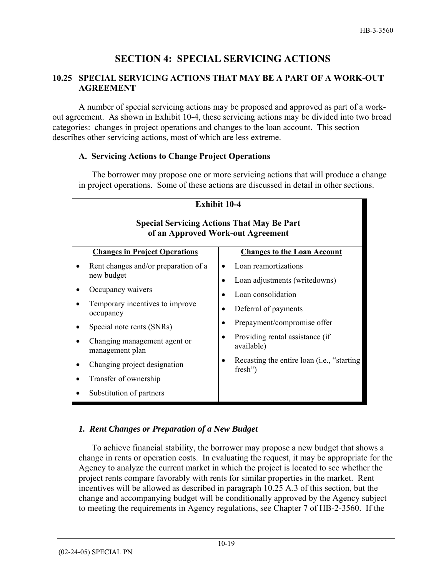# **SECTION 4: SPECIAL SERVICING ACTIONS**

# **10.25 SPECIAL SERVICING ACTIONS THAT MAY BE A PART OF A WORK-OUT AGREEMENT**

A number of special servicing actions may be proposed and approved as part of a workout agreement. As shown in Exhibit 10-4, these servicing actions may be divided into two broad categories: changes in project operations and changes to the loan account. This section describes other servicing actions, most of which are less extreme.

# **A. Servicing Actions to Change Project Operations**

The borrower may propose one or more servicing actions that will produce a change in project operations. Some of these actions are discussed in detail in other sections.

|                                                                                        | <b>Exhibit 10-4</b>                                |                                                                |  |  |  |  |
|----------------------------------------------------------------------------------------|----------------------------------------------------|----------------------------------------------------------------|--|--|--|--|
| <b>Special Servicing Actions That May Be Part</b><br>of an Approved Work-out Agreement |                                                    |                                                                |  |  |  |  |
|                                                                                        | <b>Changes in Project Operations</b>               | <b>Changes to the Loan Account</b>                             |  |  |  |  |
|                                                                                        | Rent changes and/or preparation of a<br>new budget | Loan reamortizations                                           |  |  |  |  |
|                                                                                        |                                                    | Loan adjustments (writedowns)                                  |  |  |  |  |
|                                                                                        | Occupancy waivers                                  | Loan consolidation                                             |  |  |  |  |
|                                                                                        | Temporary incentives to improve<br>occupancy       | Deferral of payments                                           |  |  |  |  |
|                                                                                        | Special note rents (SNRs)                          | Prepayment/compromise offer                                    |  |  |  |  |
|                                                                                        | Changing management agent or<br>management plan    | Providing rental assistance (if<br>available)                  |  |  |  |  |
|                                                                                        | Changing project designation                       | Recasting the entire loan ( <i>i.e.</i> , "starting<br>fresh") |  |  |  |  |
|                                                                                        | Transfer of ownership                              |                                                                |  |  |  |  |
|                                                                                        | Substitution of partners                           |                                                                |  |  |  |  |

# *1. Rent Changes or Preparation of a New Budget*

To achieve financial stability, the borrower may propose a new budget that shows a change in rents or operation costs. In evaluating the request, it may be appropriate for the Agency to analyze the current market in which the project is located to see whether the project rents compare favorably with rents for similar properties in the market. Rent incentives will be allowed as described in paragraph 10.25 A.3 of this section, but the change and accompanying budget will be conditionally approved by the Agency subject to meeting the requirements in Agency regulations, see Chapter 7 of HB-2-3560. If the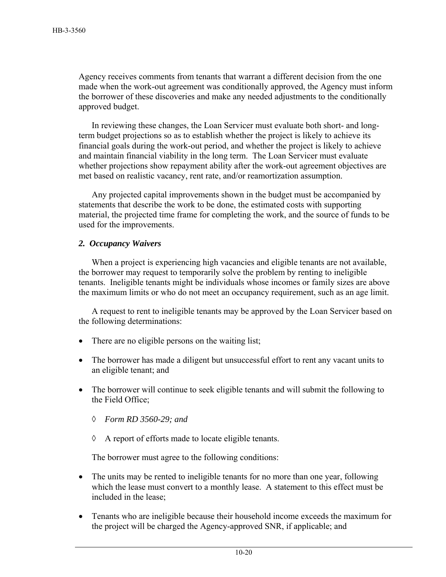Agency receives comments from tenants that warrant a different decision from the one made when the work-out agreement was conditionally approved, the Agency must inform the borrower of these discoveries and make any needed adjustments to the conditionally approved budget.

In reviewing these changes, the Loan Servicer must evaluate both short- and longterm budget projections so as to establish whether the project is likely to achieve its financial goals during the work-out period, and whether the project is likely to achieve and maintain financial viability in the long term. The Loan Servicer must evaluate whether projections show repayment ability after the work-out agreement objectives are met based on realistic vacancy, rent rate, and/or reamortization assumption.

Any projected capital improvements shown in the budget must be accompanied by statements that describe the work to be done, the estimated costs with supporting material, the projected time frame for completing the work, and the source of funds to be used for the improvements.

#### *2. Occupancy Waivers*

When a project is experiencing high vacancies and eligible tenants are not available, the borrower may request to temporarily solve the problem by renting to ineligible tenants. Ineligible tenants might be individuals whose incomes or family sizes are above the maximum limits or who do not meet an occupancy requirement, such as an age limit.

A request to rent to ineligible tenants may be approved by the Loan Servicer based on the following determinations:

- There are no eligible persons on the waiting list;
- The borrower has made a diligent but unsuccessful effort to rent any vacant units to an eligible tenant; and
- The borrower will continue to seek eligible tenants and will submit the following to the Field Office;
	- *Form RD 3560-29; and*
	- A report of efforts made to locate eligible tenants.

The borrower must agree to the following conditions:

- The units may be rented to ineligible tenants for no more than one year, following which the lease must convert to a monthly lease. A statement to this effect must be included in the lease;
- Tenants who are ineligible because their household income exceeds the maximum for the project will be charged the Agency-approved SNR, if applicable; and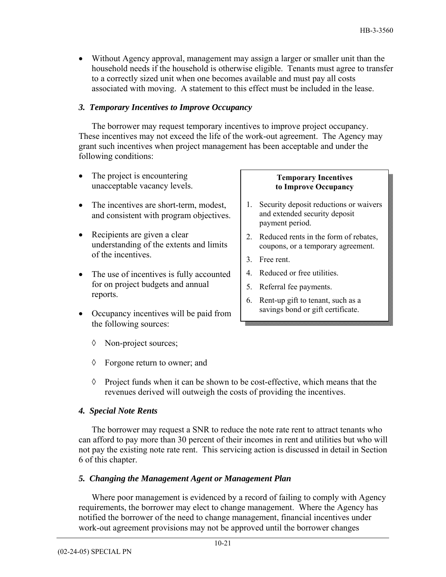Without Agency approval, management may assign a larger or smaller unit than the household needs if the household is otherwise eligible. Tenants must agree to transfer to a correctly sized unit when one becomes available and must pay all costs associated with moving. A statement to this effect must be included in the lease.

# *3. Temporary Incentives to Improve Occupancy*

The borrower may request temporary incentives to improve project occupancy. These incentives may not exceed the life of the work-out agreement. The Agency may grant such incentives when project management has been acceptable and under the following conditions:

- The project is encountering unacceptable vacancy levels.
- The incentives are short-term, modest, and consistent with program objectives.
- Recipients are given a clear understanding of the extents and limits of the incentives.
- The use of incentives is fully accounted for on project budgets and annual reports.
- Occupancy incentives will be paid from the following sources:

# **to Improve Occupancy**  1. Security deposit reductions or waivers and extended security deposit

**Temporary Incentives** 

- 2. Reduced rents in the form of rebates, coupons, or a temporary agreement.
- 3. Free rent.
- 4. Reduced or free utilities.

payment period.

- 5. Referral fee payments.
- 6. Rent-up gift to tenant, such as a savings bond or gift certificate.

- Non-project sources;
- Forgone return to owner; and
- $\Diamond$  Project funds when it can be shown to be cost-effective, which means that the revenues derived will outweigh the costs of providing the incentives.

### *4. Special Note Rents*

The borrower may request a SNR to reduce the note rate rent to attract tenants who can afford to pay more than 30 percent of their incomes in rent and utilities but who will not pay the existing note rate rent. This servicing action is discussed in detail in Section 6 of this chapter.

# *5. Changing the Management Agent or Management Plan*

Where poor management is evidenced by a record of failing to comply with Agency requirements, the borrower may elect to change management. Where the Agency has notified the borrower of the need to change management, financial incentives under work-out agreement provisions may not be approved until the borrower changes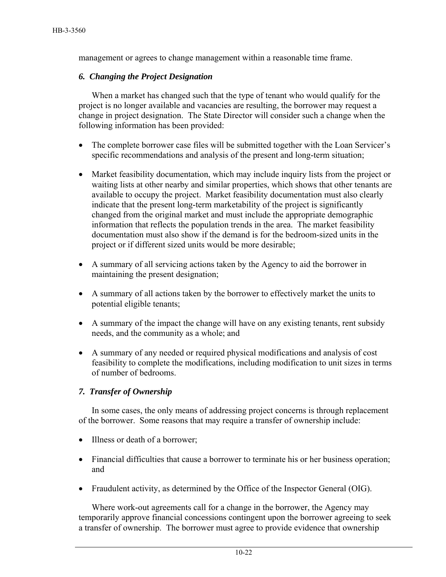management or agrees to change management within a reasonable time frame.

## *6. Changing the Project Designation*

When a market has changed such that the type of tenant who would qualify for the project is no longer available and vacancies are resulting, the borrower may request a change in project designation. The State Director will consider such a change when the following information has been provided:

- The complete borrower case files will be submitted together with the Loan Servicer's specific recommendations and analysis of the present and long-term situation;
- Market feasibility documentation, which may include inquiry lists from the project or waiting lists at other nearby and similar properties, which shows that other tenants are available to occupy the project. Market feasibility documentation must also clearly indicate that the present long-term marketability of the project is significantly changed from the original market and must include the appropriate demographic information that reflects the population trends in the area. The market feasibility documentation must also show if the demand is for the bedroom-sized units in the project or if different sized units would be more desirable;
- A summary of all servicing actions taken by the Agency to aid the borrower in maintaining the present designation;
- A summary of all actions taken by the borrower to effectively market the units to potential eligible tenants;
- A summary of the impact the change will have on any existing tenants, rent subsidy needs, and the community as a whole; and
- A summary of any needed or required physical modifications and analysis of cost feasibility to complete the modifications, including modification to unit sizes in terms of number of bedrooms.

# *7. Transfer of Ownership*

In some cases, the only means of addressing project concerns is through replacement of the borrower. Some reasons that may require a transfer of ownership include:

- Illness or death of a borrower;
- Financial difficulties that cause a borrower to terminate his or her business operation; and
- Fraudulent activity, as determined by the Office of the Inspector General (OIG).

Where work-out agreements call for a change in the borrower, the Agency may temporarily approve financial concessions contingent upon the borrower agreeing to seek a transfer of ownership. The borrower must agree to provide evidence that ownership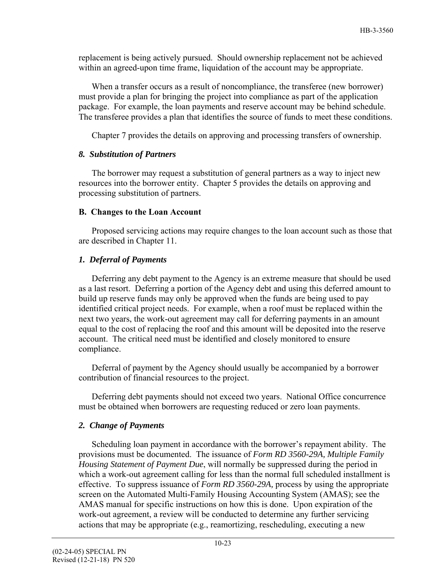replacement is being actively pursued. Should ownership replacement not be achieved within an agreed-upon time frame, liquidation of the account may be appropriate.

When a transfer occurs as a result of noncompliance, the transferee (new borrower) must provide a plan for bringing the project into compliance as part of the application package. For example, the loan payments and reserve account may be behind schedule. The transferee provides a plan that identifies the source of funds to meet these conditions.

Chapter 7 provides the details on approving and processing transfers of ownership.

## *8. Substitution of Partners*

The borrower may request a substitution of general partners as a way to inject new resources into the borrower entity. Chapter 5 provides the details on approving and processing substitution of partners.

## **B. Changes to the Loan Account**

Proposed servicing actions may require changes to the loan account such as those that are described in Chapter 11.

# *1. Deferral of Payments*

Deferring any debt payment to the Agency is an extreme measure that should be used as a last resort. Deferring a portion of the Agency debt and using this deferred amount to build up reserve funds may only be approved when the funds are being used to pay identified critical project needs. For example, when a roof must be replaced within the next two years, the work-out agreement may call for deferring payments in an amount equal to the cost of replacing the roof and this amount will be deposited into the reserve account. The critical need must be identified and closely monitored to ensure compliance.

Deferral of payment by the Agency should usually be accompanied by a borrower contribution of financial resources to the project.

Deferring debt payments should not exceed two years. National Office concurrence must be obtained when borrowers are requesting reduced or zero loan payments.

# *2. Change of Payments*

Scheduling loan payment in accordance with the borrower's repayment ability. The provisions must be documented. The issuance of *Form RD 3560-29A, Multiple Family Housing Statement of Payment Due*, will normally be suppressed during the period in which a work-out agreement calling for less than the normal full scheduled installment is effective. To suppress issuance of *Form RD 3560-29A,* process by using the appropriate screen on the Automated Multi-Family Housing Accounting System (AMAS); see the AMAS manual for specific instructions on how this is done. Upon expiration of the work-out agreement, a review will be conducted to determine any further servicing actions that may be appropriate (e.g., reamortizing, rescheduling, executing a new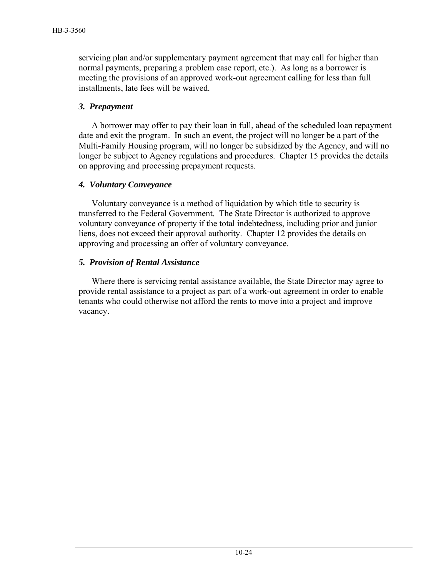servicing plan and/or supplementary payment agreement that may call for higher than normal payments, preparing a problem case report, etc.). As long as a borrower is meeting the provisions of an approved work-out agreement calling for less than full installments, late fees will be waived.

## *3. Prepayment*

A borrower may offer to pay their loan in full, ahead of the scheduled loan repayment date and exit the program. In such an event, the project will no longer be a part of the Multi-Family Housing program, will no longer be subsidized by the Agency, and will no longer be subject to Agency regulations and procedures. Chapter 15 provides the details on approving and processing prepayment requests.

## *4. Voluntary Conveyance*

Voluntary conveyance is a method of liquidation by which title to security is transferred to the Federal Government. The State Director is authorized to approve voluntary conveyance of property if the total indebtedness, including prior and junior liens, does not exceed their approval authority. Chapter 12 provides the details on approving and processing an offer of voluntary conveyance.

# *5. Provision of Rental Assistance*

Where there is servicing rental assistance available, the State Director may agree to provide rental assistance to a project as part of a work-out agreement in order to enable tenants who could otherwise not afford the rents to move into a project and improve vacancy.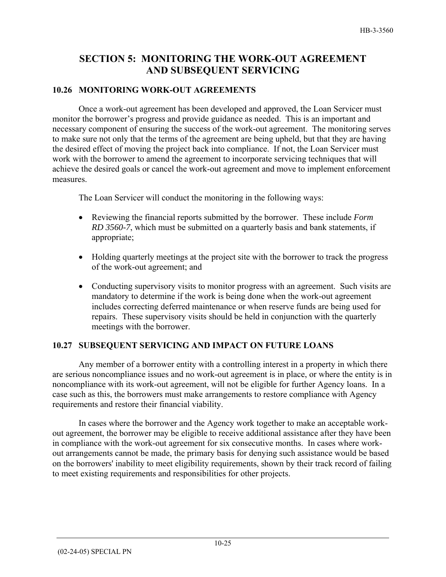# **SECTION 5: MONITORING THE WORK-OUT AGREEMENT AND SUBSEQUENT SERVICING**

# **10.26 MONITORING WORK-OUT AGREEMENTS**

Once a work-out agreement has been developed and approved, the Loan Servicer must monitor the borrower's progress and provide guidance as needed. This is an important and necessary component of ensuring the success of the work-out agreement. The monitoring serves to make sure not only that the terms of the agreement are being upheld, but that they are having the desired effect of moving the project back into compliance. If not, the Loan Servicer must work with the borrower to amend the agreement to incorporate servicing techniques that will achieve the desired goals or cancel the work-out agreement and move to implement enforcement measures.

The Loan Servicer will conduct the monitoring in the following ways:

- Reviewing the financial reports submitted by the borrower. These include *Form RD 3560-7*, which must be submitted on a quarterly basis and bank statements, if appropriate;
- Holding quarterly meetings at the project site with the borrower to track the progress of the work-out agreement; and
- Conducting supervisory visits to monitor progress with an agreement. Such visits are mandatory to determine if the work is being done when the work-out agreement includes correcting deferred maintenance or when reserve funds are being used for repairs. These supervisory visits should be held in conjunction with the quarterly meetings with the borrower.

# **10.27 SUBSEQUENT SERVICING AND IMPACT ON FUTURE LOANS**

Any member of a borrower entity with a controlling interest in a property in which there are serious noncompliance issues and no work-out agreement is in place, or where the entity is in noncompliance with its work-out agreement, will not be eligible for further Agency loans. In a case such as this, the borrowers must make arrangements to restore compliance with Agency requirements and restore their financial viability.

In cases where the borrower and the Agency work together to make an acceptable workout agreement, the borrower may be eligible to receive additional assistance after they have been in compliance with the work-out agreement for six consecutive months. In cases where workout arrangements cannot be made, the primary basis for denying such assistance would be based on the borrowers' inability to meet eligibility requirements, shown by their track record of failing to meet existing requirements and responsibilities for other projects.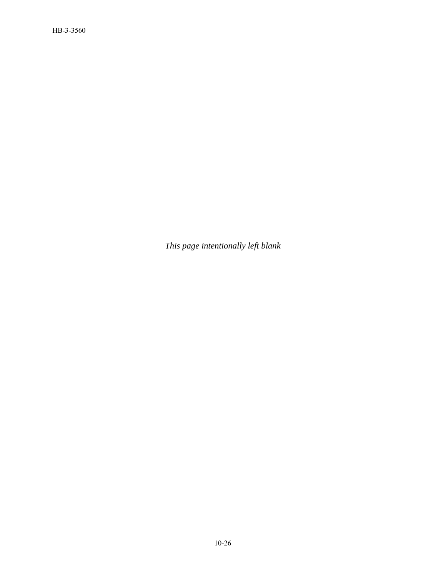*This page intentionally left blank*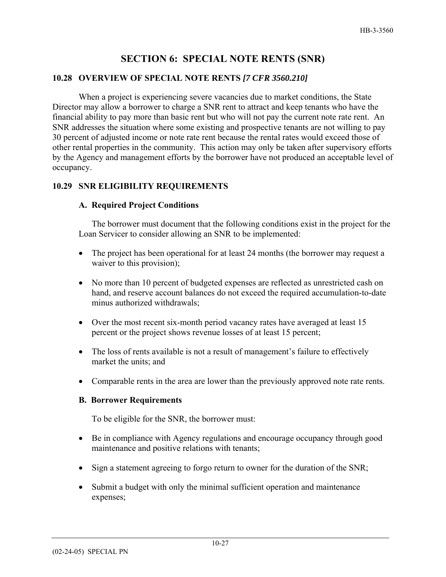# **SECTION 6: SPECIAL NOTE RENTS (SNR)**

# **10.28 OVERVIEW OF SPECIAL NOTE RENTS** *[7 CFR 3560.210]*

When a project is experiencing severe vacancies due to market conditions, the State Director may allow a borrower to charge a SNR rent to attract and keep tenants who have the financial ability to pay more than basic rent but who will not pay the current note rate rent. An SNR addresses the situation where some existing and prospective tenants are not willing to pay 30 percent of adjusted income or note rate rent because the rental rates would exceed those of other rental properties in the community. This action may only be taken after supervisory efforts by the Agency and management efforts by the borrower have not produced an acceptable level of occupancy.

## **10.29 SNR ELIGIBILITY REQUIREMENTS**

### **A. Required Project Conditions**

The borrower must document that the following conditions exist in the project for the Loan Servicer to consider allowing an SNR to be implemented:

- The project has been operational for at least 24 months (the borrower may request a waiver to this provision);
- No more than 10 percent of budgeted expenses are reflected as unrestricted cash on hand, and reserve account balances do not exceed the required accumulation-to-date minus authorized withdrawals;
- Over the most recent six-month period vacancy rates have averaged at least 15 percent or the project shows revenue losses of at least 15 percent;
- The loss of rents available is not a result of management's failure to effectively market the units; and
- Comparable rents in the area are lower than the previously approved note rate rents.

### **B. Borrower Requirements**

To be eligible for the SNR, the borrower must:

- Be in compliance with Agency regulations and encourage occupancy through good maintenance and positive relations with tenants;
- Sign a statement agreeing to forgo return to owner for the duration of the SNR;
- Submit a budget with only the minimal sufficient operation and maintenance expenses;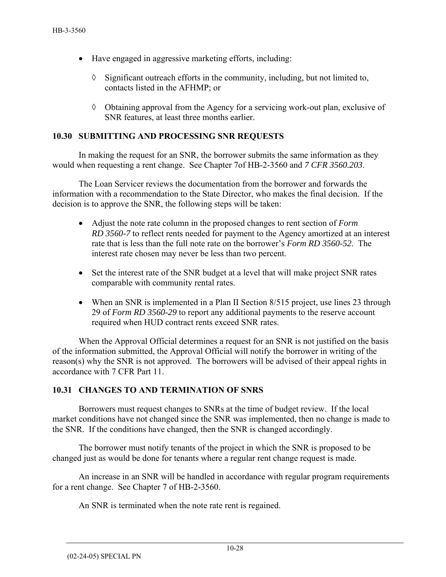- Have engaged in aggressive marketing efforts, including:
	- $\Diamond$  Significant outreach efforts in the community, including, but not limited to, contacts listed in the AFHMP; or
	- $\Diamond$  Obtaining approval from the Agency for a servicing work-out plan, exclusive of SNR features, at least three months earlier.

### **10.30 SUBMITTING AND PROCESSING SNR REQUESTS**

In making the request for an SNR, the borrower submits the same information as they would when requesting a rent change. See Chapter 7of HB-2-3560 and *7 CFR 3560.203*.

The Loan Servicer reviews the documentation from the borrower and forwards the information with a recommendation to the State Director, who makes the final decision. If the decision is to approve the SNR, the following steps will be taken:

- Adjust the note rate column in the proposed changes to rent section of *Form RD 3560-7* to reflect rents needed for payment to the Agency amortized at an interest rate that is less than the full note rate on the borrower's *Form RD 3560-52*. The interest rate chosen may never be less than two percent.
- Set the interest rate of the SNR budget at a level that will make project SNR rates comparable with community rental rates.
- When an SNR is implemented in a Plan II Section 8/515 project, use lines 23 through 29 of *Form RD 3560-29* to report any additional payments to the reserve account required when HUD contract rents exceed SNR rates.

When the Approval Official determines a request for an SNR is not justified on the basis of the information submitted, the Approval Official will notify the borrower in writing of the reason(s) why the SNR is not approved. The borrowers will be advised of their appeal rights in accordance with 7 CFR Part 11.

#### **10.31 CHANGES TO AND TERMINATION OF SNRS**

Borrowers must request changes to SNRs at the time of budget review. If the local market conditions have not changed since the SNR was implemented, then no change is made to the SNR. If the conditions have changed, then the SNR is changed accordingly.

The borrower must notify tenants of the project in which the SNR is proposed to be changed just as would be done for tenants where a regular rent change request is made.

An increase in an SNR will be handled in accordance with regular program requirements for a rent change. See Chapter 7 of HB-2-3560.

An SNR is terminated when the note rate rent is regained.

(02-24-05) SPECIAL PN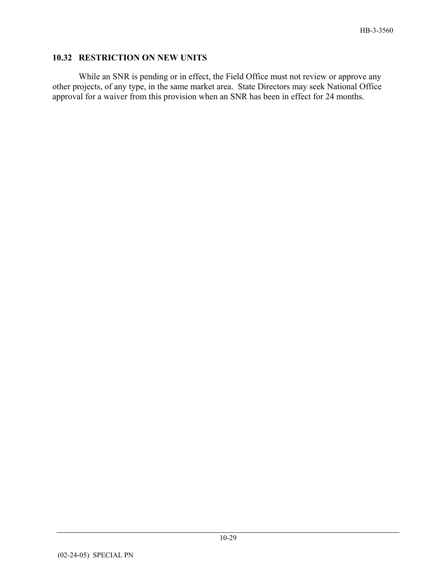# **10.32 RESTRICTION ON NEW UNITS**

While an SNR is pending or in effect, the Field Office must not review or approve any other projects, of any type, in the same market area. State Directors may seek National Office approval for a waiver from this provision when an SNR has been in effect for 24 months.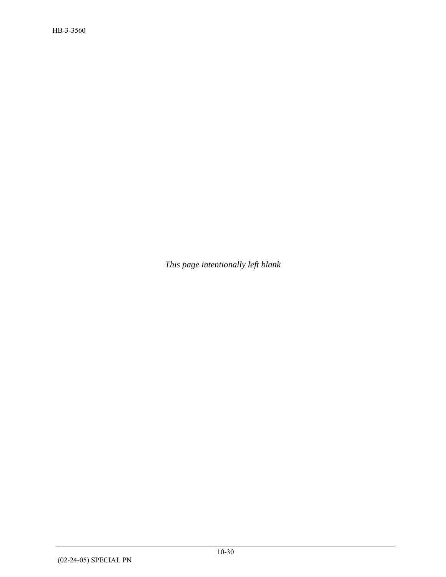*This page intentionally left blank*